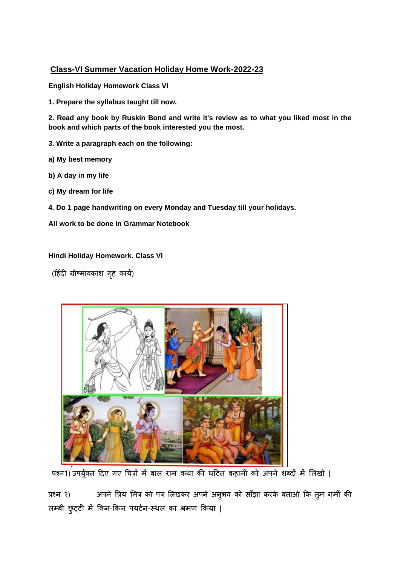# **Class-VI Summer Vacation Holiday Home Work-2022-23**

**English Holiday Homework Class VI**

**1. Prepare the syllabus taught till now.**

**2. Read any book by Ruskin Bond and write it's review as to what you liked most in the book and which parts of the book interested you the most.**

- **3. Write a paragraph each on the following:**
- **a) My best memory**
- **b) A day in my life**
- **c) My dream for life**
- **4. Do 1 page handwriting on every Monday and Tuesday till your holidays.**

**All work to be done in Grammar Notebook**

## **Hindi Holiday Homework. Class VI**

(हिंदी ग्रीष्मावकाश गृह कार्य)



प्रश्न1) उपर्युक्त दिए गए चित्रों में बाल राम कथा की घटित कहानी को अपने शब्दों में लिखो |

प्रश्न २) अपने प्रिय मित्र को पत्र लिखकर अपने अनुभव को साँझा करके बताओ कि तुम गर्मी की लम्बी छुट्टी में किन-किन पयर्टन-स्थल का भ्रमण किया |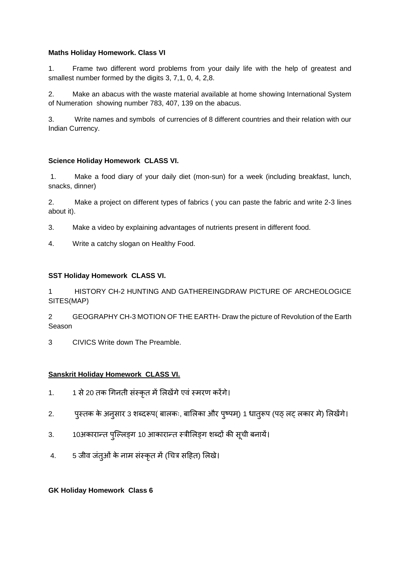## **Maths Holiday Homework. Class VI**

1. Frame two different word problems from your daily life with the help of greatest and smallest number formed by the digits 3, 7,1, 0, 4, 2,8.

2. Make an abacus with the waste material available at home showing International System of Numeration showing number 783, 407, 139 on the abacus.

3. Write names and symbols of currencies of 8 different countries and their relation with our Indian Currency.

## **Science Holiday Homework CLASS VI.**

1. Make a food diary of your daily diet (mon-sun) for a week (including breakfast, lunch, snacks, dinner)

2. Make a project on different types of fabrics ( you can paste the fabric and write 2-3 lines about it).

- 3. Make a video by explaining advantages of nutrients present in different food.
- 4. Write a catchy slogan on Healthy Food.

#### **SST Holiday Homework CLASS VI.**

1 HISTORY CH-2 HUNTING AND GATHEREINGDRAW PICTURE OF ARCHEOLOGICE SITES(MAP)

2 GEOGRAPHY CH-3 MOTION OF THE EARTH- Draw the picture of Revolution of the Earth Season

3 CIVICS Write down The Preamble.

## **Sanskrit Holiday Homework CLASS VI.**

- 1. 1 से 20 तक गिनती संस्कृत में लिखेंगे एवं स्मरण करेंगे।
- 2. पुस्तक के अनुसार 3 शब्दरूप( बालकः, बालिका और पुष्पम्) 1 धात्रूप (पठ् लट् लकार मे) लिखेंगे।
- 3. 10अकारान्त पुल्लिङ्ग 10 आकारान्त स्त्रीलिङ्ग शब्दों की सूची बनायें।
- 4. 5 जीव जंतूओं के नाम संस्कृत में (चित्र सहित) लिखे।

#### **GK Holiday Homework Class 6**